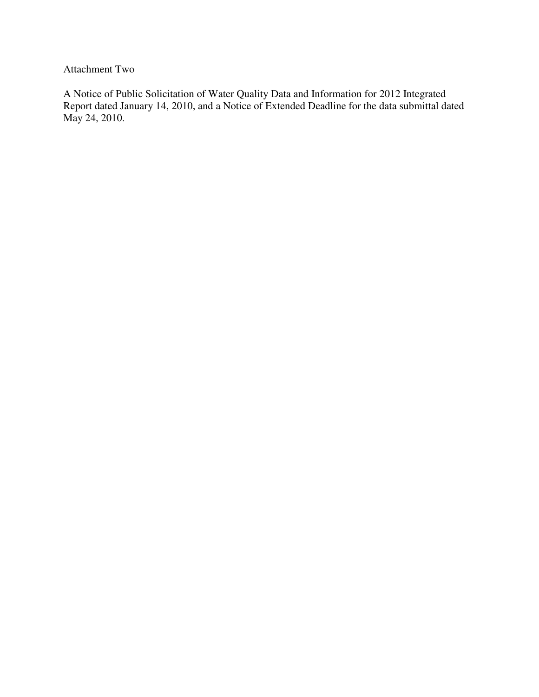Attachment Two

A Notice of Public Solicitation of Water Quality Data and Information for 2012 Integrated Report dated January 14, 2010, and a Notice of Extended Deadline for the data submittal dated May 24, 2010.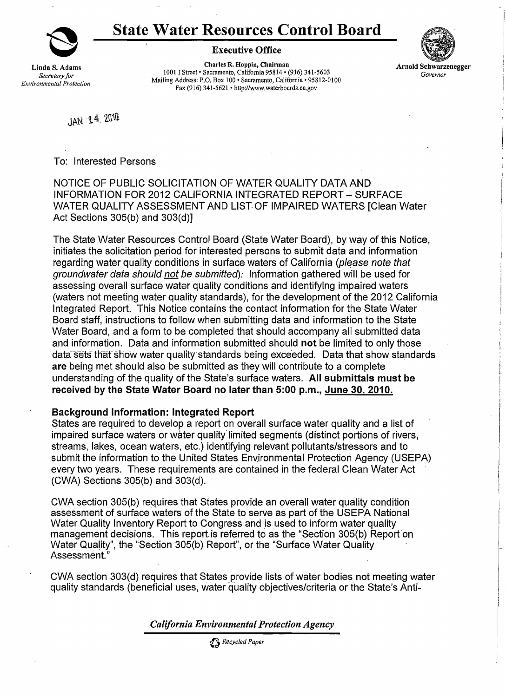

# State Water Resources Control Board

#### Executive Office

Arnold Schwarzenegger *Governor*

Linda S. Adams *Secretaryfor Environmental Protection*

Charles R. Hoppin, Chairman 1001 I Street· Sacramento, California 95814· (916) 341-5603 Mailing Address: P.O. Box 100· Sacramento, California· 95812-0100 Fax (916) 341-5621 • http://www.waterboards.ca.gov

JAN 14.2010

To: Interested Persons

NOTICE OF PUBLIC SOLICITATION OF WATER QUALITY DATA AND INFORMATION FOR 2012 CALIFORNIA INTEGRATED REPORT - SURFACE WATER QUALITY ASSESSMENT AND LIST OF IMPAIRED WATERS [Clean Water Act Sections 305(b) and 303(d)]

The State Water Resources Control Board (State Water Board), by way of this Notice, initiates the solicitation period for interested persons to subm'it data and information regarding water quality conditions in surface waters of California (please note that groundwater data should not be submitted): Information gathered will be used for assessing overall surface water quality conditions and identifying impaired waters (waters not meeting water quality standards), for the development of the 2012 California Integrated Report. This Notice contains the contact information for the State Water Board staff, instructions to follow when submitting data and information to the State Water Board, and a form to be completed that should accompany all submitted data and information. Data and information submitted should not be limited to only those data sets that show water quality standards being-exceeded. Data that show standards are being met should also be submitted as they will contribute to a complete understanding of the quality of the State's surface waters. All submittals must be received by the State Water Board no later than 5:00 p.m., June 30, 2010.

### Background Information: Integrated Report

States are required to develop a report on overall surface water quality and a list of impaired surface waters or water quality limited segments (distinct portions of rivers, streams, lakes, ocean waters, etc.) identifying relevant pollutants/stressors and to submit the information to the United States Environmental Protection Agency (USEPA) every two years. These requirements are contained-in the federal Clean Water Act (CWA) Sections 305(b) and 303(d).

CWA section 305(b) requires that States provide an overall water quality condition assessment of surface waters of the State to serve as part of the USEPA National Water Quality Inventory Report to Congress and is used to inform water quality management decisions. This report is referred to as the "Section 305(b) Report on Water Quality", the "Section 305(b) Report", or the "Surface Water Quality Assessment."

CWA section 303(d) requires that States provide lists of water bodies not meeting water quality standards (beneficial uses, water quality objectives/criteria or the State's Anti-

*California Environmental Protection Agency*

*RecycledPaper*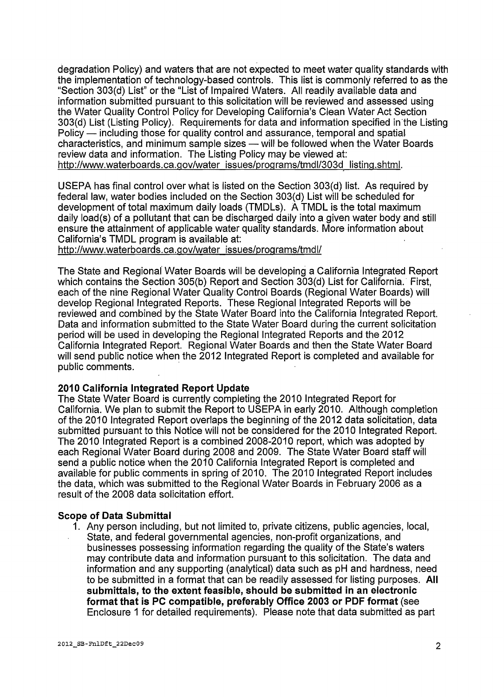degradation Policy) and waters that are not expected to meet water quality standards with the implementation of technology-based controls. This list is commonly referred to as the "Section 303(d) List" or the "List of Impaired Waters. All readily available data and information submitted pursuant to this solicitation will be reviewed and assessed using the Water Quality Control Policy for Developing California's Clean Water Act Section 303(d) List (Listing Policy). Requirements for data and information specified in"the Listing Policy - including those for quality control and assurance, temporal and spatial characteristics, and minimum sample sizes — will be followed when the Water Boards review data and information. The Listing Policy may be viewed at: [http://www.waterboards.ca.gov/water](http://www.waterboards.ca.gov/water_issues/programs/tmdl/303d_listing.shtml) issues/programs/tmdIl303d. listing.shtml.

USEPA has final control over what is listed on the Section 303(d) list. As required by federal law, water bodies included on the Section 303(d) List will be scheduled for development of total maximum daily loads (TMDLs). A TMDL is the total maximum daily load(s) of a pollutant that can be discharged daily into a given water body and still ensure the attainment of applicable water quality standards. More information about California's TMDL program is available at:

[http://www.waterboards.ca.gov/water](http://www.waterboards.ca.gov/water_issues/programs/tmdl/) issues/programs/tmdl/

The State and Regional' Water Boards will be developing a Californ'ia Integrated Report which contains the Section 305(b) Report and Section 303(d) List for California. First, each of the nine Regional Water Quality Control Boards (Regional Water Boards) will develop Regional Integrated Reports. These Regional Integrated Reports will be reviewed and combined by the State Water Board into the California Integrated Report. Data and information submitted to the State Water Board during the current solicitation period will be used in developing the Regional Integrated Reports and the 2012 California Integrated Report. Regional Water Boards and then the State Water Board will send public notice when the 2012 Integrated Report is completed and available for public comments. '

### **2010 California Integrated Report Update**

The State Water Board is currently completing the 2010 Integrated Report for California. We plan to submit the Report to USEPA in early 2010. Although completion of the 2010 Integrated Report overlaps the beginning of the 2012 data solicitation, data submitted pursuant to this Notice will not be considered for the 2010 Integrated Report. The 2010 Integrated Report is a combined 2008-2010 report, which was adopted by each Regional Water Board during 2008 and 2009. The State Water Board staff will send a public notice when the 2010 California Integrated Report is completed and available for public comments in spring of 2010. The 2010 Integrated Report includes the data, which was submitted to the Regional Water Boards in February 2006 as a result of the 2008 data solicitation effort.

### **Scope of Data Submittal**

1. Any person including, but not limited to, private citizens, public agencies, local, State, and federal governmental agencies, non-profit organizations, and businesses possessing' information regarding the quality of the State's waters may contribute data and information pursuant to this solicitation. The data and information and any supporting (analytical) data such as pH and hardness, need to be submitted in a format that can be readily assessed. for listing purposes. **All submittals, to the extent feasible, should be submitted in an electronic format that is PC compatible, preferably Office 2003 or PDF format** (see Enclosure 1 for detailed requirements). Please note that data submitted as part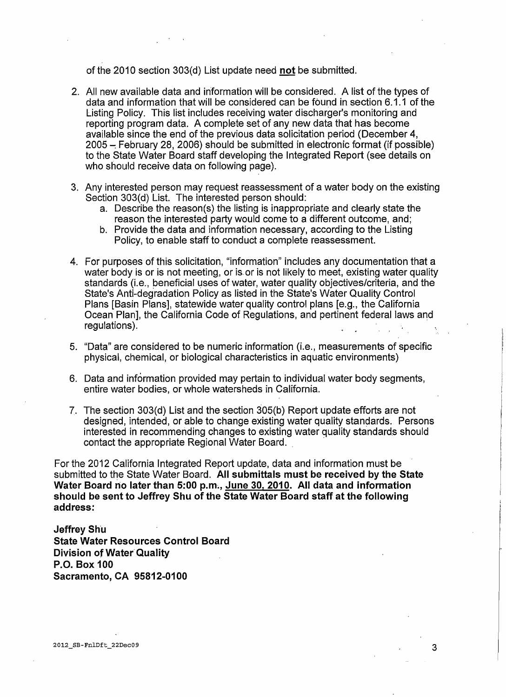of the 2010 section 303(d) List update need not be submitted.

- 2. All new available data and information will be considered. A list of the types of data and information that will be considered can be found in section 6.1.1 of the listing Policy. This list includes receiving water discharger's monitoring and reporting program data. A complete set of any new data that has become available since the end of the previous data solicitation period (December 4,  $2005 -$  February 28, 2006) should be submitted in electronic format (if possible) to the State Water Board staff developing the Integrated Report (see details on who should receive data on following page).
- 3. Any interested person may request reassessment of a water body on the existing Section 303(d) List. The interested person should:
	- a. Describe the reason(s) the listing is inappropriate and clearly state the reason the interested party would come to a different outcome, and;
	- b. Provide the data and information necessary, according to the Listing Policy, to enable staff to conduct a complete reassessment.
- 4. For purposes of this solicitation, "information" includes any documentation that a water body is or is not meeting, or is or is not likely to meet, existing water quality standards (i.e., beneficial uses of water, water quality objectives/criteria, and the State's Anti-degradation Policy as listed in the State's Water Quality Control Plans [Basin Plans], statewide water quality control plans [e.g., the California Ocean Plan], the California Code of Regulations, and pertinent federal laws and regulations).
- 5. "Data" are considered to be numeric information (Le., measurements of specific physical, chemical, or biological characteristics in aquatic environments)
- 6. Data and information provided may pertain to individual water body segments, entire water bodies, or whole watersheds in California.
- 7. The section 303(d) List and the section 305(b) Report update efforts are not designed, intended, or able to change existing water quality standards. Persons interested in recommending changes to existing water quality standards should contact the appropriate Regional Water Board.

For the 2012 California Integrated Report update, data and information must be submitted to the State Water Board. All submittals must be received by the State Water Board no later than 5:00 p.m., June 30, 2010. All data and information should be sent to Jeffrey Shu of the State Water Board staff at the following address:

Jeffrey Shu State Water Resources Control Board Division of Water Quality P.o. Box 100 Sacramento, CA 95812-0100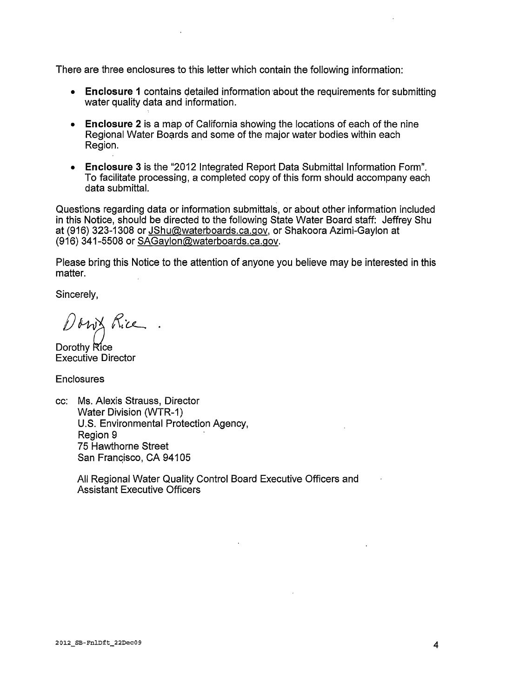There are three enclosures to this letter which contain the following information:

- **• Enclosure 1** contains detailed information 'about the requirements for submitting water quality data and information.
- **• Enclosure 2** is a map of California showing the locations of each of the nine Regional Water Boards and some of the major water bodies within each Region.
- **• Enclosure 3** is the "2012 Integrated Report Data Submittal Information Form". To facilitate processing, a completed copy of this form should accompany each data submittal.

Questions regarding data or information submittals, or about other information included in this Notice, should be directed to the following State Water Board staff: Jeffrey Shu at (916) 323-1308 or JShu@waterboards.ca.gov, or Shakoora Azimi-Gaylon at (916) 341-5508 or SAGaylon@waterboards.ca.gov.

Please bring this Notice to the attention of anyone you believe may be interested in this matter.

Sincerely,

Down Rice

Dorothy Rice Executive Director

**Enclosures** 

cc: Ms. Alexis Strauss, Director Water Division (WTR-1) U.S. Environmental Protection Agency, Region 9 75 Hawthorne Street San Francisco, CA 94105

> All Regional Water Quality Control Board Executive Officers and Assistant Executive Officers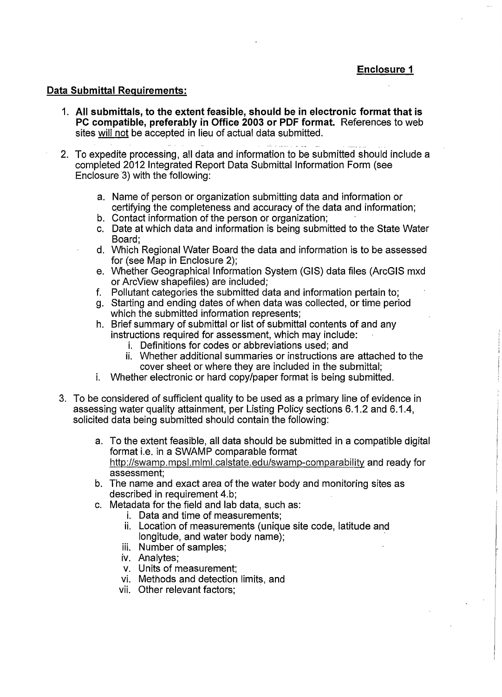### **Data Submittal Requirements:**

- 1. **All submittals, to the extent feasible, should be in electronic format that is PC compatible, preferably in Office 2003 or PDF format.** References to web sites will not be accepted in lieu of actual data submitted.
- 2. To expedite processing, all data and information to be submitted should include a completed 2012 Integrated Report Data Submittal Information Form (see Enclosure 3) with the folloWing:
	- a. Name of person or organization submitting data and information or certifying the completeness and accuracy of the data and information;
	- b. Contact information of the person or organization;
	- c. Date at which data and information is being submitted to the State Water Board;
	- d. Which Regional Water Board the data and information is to be assessed for (see Map in Enclosure 2);
	- e. Whether Geographical Information System (GIS) data files (ArcGIS mxd or ArcView shapefiles) are included;
	- f. Pollutant categories the submitted data and information pertain to;
	- g. Starting and ending dates of when data was collected, or time period which the submitted information represents;
	- h. Brief summary of submittal or list of submittal contents of and any instructions required for assessment, which may include:
		- i. Definitions for codes or abbreviations used; and
		- ii. Whether additional summaries or instructions are attached to the cover sheet or where they are included in the submittal;
	- i. Whether electronic or hard copy/paper format is being submitted.
- 3. To be considered of sufficient quality to be used as a primary line of evidence in assessing water quality attainment, per Listing Policy sections 6.1.2 and 6.1.4, solicited data being submitted should contain the following:
	- a. To the extent feasible, all data should be submitted in a compatible digital format i.e. in a SWAMP comparable format http://swamp.mpsl.mlml.calstate.edu/swamp-comparability and ready for assessment;
	- b. The name and exact area of the water body and monitoring sites as described in requirement 4.b;
	- c. Metadata for the field and lab data, such as:
		- i. Data and time of measurements;
		- ii. Location of measurements (unique site code, latitude and longitude, and water body name);
		- iii. Number of samples;
		- iv. Analytes;
		- v. Units of measurement;
		- vi. Methods and detection limits, and
		- vii. Other relevant factors: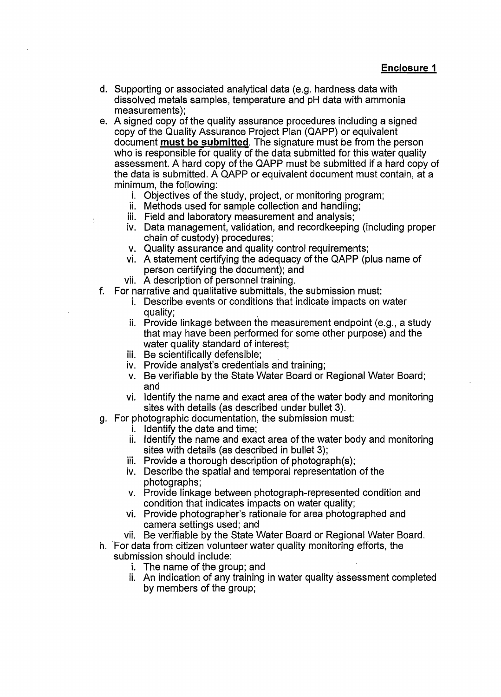- d. Supporting or associated analytical data (e.g. hardness data with dissolved metals samples, temperature and pH data with ammonia measurements);
- e. A signed copy of the quality assurance procedures including a signed copy of the Quality Assurance Project Plan (QAPP) or equivalent document **must be submitted.** The signature must be from the person who is responsible for quality of the data submitted for this water quality assessment. A hard copy of the QAPP must be submitted if a hard copy of the data is submitted. A QAPP or equivalent document must contain, at a minimum, the following:
	- i. Objectives of the study, project, or monitoring program;
	- ii. Methods used for sample collection and handling;
	- iii. Field and laboratory measurement and analysis;
	- iv. Data management, validation, and recordkeeping (including proper chain of custody) procedures;
	- v. Quality assurance and quality control requirements;
	- vi. A statement certifying the adequacy of the QAPP (plus name of person certifying the document); and
	- vii. A description of personnel training.
- f. For narrative and qualitative submittals, the submission must:
	- i. Describe events or conditions that indicate impacts on water quality;
	- ii. Provide linkage between the measurement endpoint (e.g., a study that may have been performed for some other purpose) and the water quality standard of interest;
	- iii. Be scientifically defensible;
	- iv. Provide analyst's credentials and training;
	- v. Be verifiable by the State Water Board or Regional Water Board; and
	- vi. Identify the name and exact area of the water body and monitoring sites with details (as described under bullet 3).
- g. For photographic documentation, the submission must:
	- i. Identify the date and time;
	- ii. Identify the name and exact area of the water body and monitoring sites with details (as described in bullet 3);
	- iii. Provide a thorough description of photograph(s);
	- iv. Describe the spatial and temporal representation of the photographs;
	- v. Provide linkage between photograph-represented condition and condition that indicates impacts on water quality;
	- vi. Provide photographer's rationale for area photographed and camera settings used; and
	- vii. Be verifiable by the State Water Board or Regional Water Board.
- h. 'For data from citizen volunteer water quality monitoring efforts, the submission should include:
	- i. The name of the group; and
	- ii. An indication of any training in water quality assessment completed by members of the group;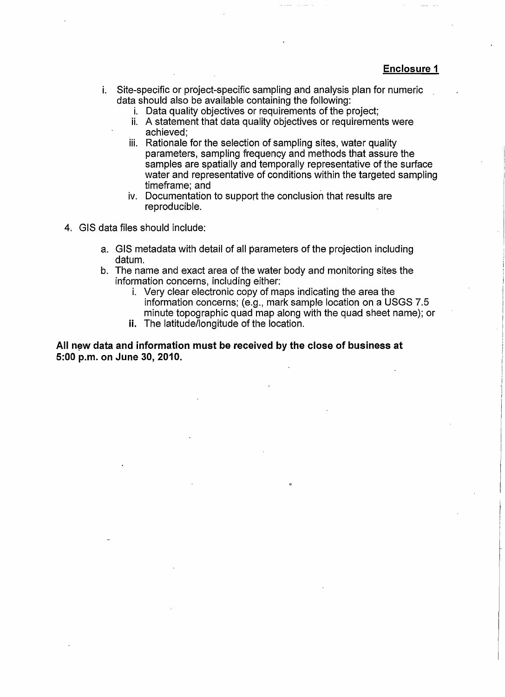- i. Site-specific or project-specific sampling and analysis plan for numeric data should also be available containing the following:
	- i. Data quality objectives or requirements of the project;
	- ii. A statement that data quality objectives or requirements were achieved;
	- iii. Rationale for the selection of sampling sites, water quality parameters, sampling frequency and methods that assure the samples are spatially and temporally representative of the surface water and representative of conditions within the targeted sampling timeframe; and
	- iv. Documentation to support the conclusion that results are reproducible.
- 4. GIS data files should include:
	- a. GIS metadata with detail of all parameters of the projection including datum.
	- b. The name and exact area of the water body and monitoring sites the information concerns, including either:
		- i. Very clear electronic copy of maps indicating the area the information concerns; (e.g., mark sample location on a USGS 7.5 minute topographic quad map along with the quad sheet name); or
		- ii. The latitude/longitude of the location.

All new data and information must be received by the close of business at 5:00 p.m. on June 30, 2010.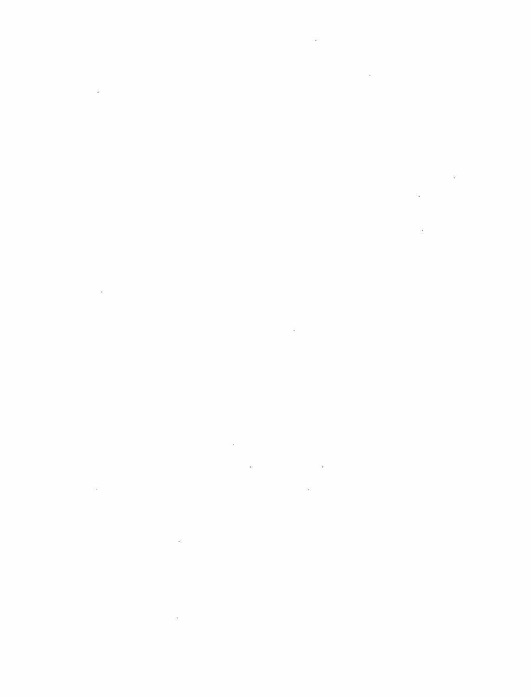$\label{eq:2.1} \frac{1}{\sqrt{2}}\int_{\mathbb{R}^3}\frac{1}{\sqrt{2}}\left(\frac{1}{\sqrt{2}}\right)^2\frac{1}{\sqrt{2}}\left(\frac{1}{\sqrt{2}}\right)^2\frac{1}{\sqrt{2}}\left(\frac{1}{\sqrt{2}}\right)^2\frac{1}{\sqrt{2}}\left(\frac{1}{\sqrt{2}}\right)^2.$ 

 $\label{eq:2.1} \frac{1}{\sqrt{2}}\int_{\mathbb{R}^3}\frac{1}{\sqrt{2}}\left(\frac{1}{\sqrt{2}}\right)^2\frac{1}{\sqrt{2}}\left(\frac{1}{\sqrt{2}}\right)^2\frac{1}{\sqrt{2}}\left(\frac{1}{\sqrt{2}}\right)^2\frac{1}{\sqrt{2}}\left(\frac{1}{\sqrt{2}}\right)^2.$  $\label{eq:2.1} \frac{1}{\sqrt{2}}\int_{\mathbb{R}^3}\frac{1}{\sqrt{2}}\left(\frac{1}{\sqrt{2}}\right)^2\frac{1}{\sqrt{2}}\left(\frac{1}{\sqrt{2}}\right)^2\frac{1}{\sqrt{2}}\left(\frac{1}{\sqrt{2}}\right)^2.$ 

 $\label{eq:2.1} \frac{1}{\sqrt{2}}\int_{\mathbb{R}^3}\frac{1}{\sqrt{2}}\left(\frac{1}{\sqrt{2}}\right)^2\frac{1}{\sqrt{2}}\left(\frac{1}{\sqrt{2}}\right)^2\frac{1}{\sqrt{2}}\left(\frac{1}{\sqrt{2}}\right)^2\frac{1}{\sqrt{2}}\left(\frac{1}{\sqrt{2}}\right)^2.$  $\label{eq:2.1} \mathbf{P}_{\mathbf{r}}(t) = \mathbf{P}_{\mathbf{r}}(t) + \mathbf{P}_{\mathbf{r}}(t) + \mathbf{P}_{\mathbf{r}}(t)$ 

 $\label{eq:2.1} \frac{1}{\sqrt{2}}\int_{\mathbb{R}^3}\frac{1}{\sqrt{2}}\left(\frac{1}{\sqrt{2}}\right)^2\frac{1}{\sqrt{2}}\left(\frac{1}{\sqrt{2}}\right)^2\frac{1}{\sqrt{2}}\left(\frac{1}{\sqrt{2}}\right)^2\frac{1}{\sqrt{2}}\left(\frac{1}{\sqrt{2}}\right)^2\frac{1}{\sqrt{2}}\left(\frac{1}{\sqrt{2}}\right)^2\frac{1}{\sqrt{2}}\frac{1}{\sqrt{2}}\frac{1}{\sqrt{2}}\frac{1}{\sqrt{2}}\frac{1}{\sqrt{2}}\frac{1}{\sqrt{2}}$ 

 $\label{eq:2.1} \frac{1}{\sqrt{2}}\int_{\mathbb{R}^3}\frac{1}{\sqrt{2}}\left(\frac{1}{\sqrt{2}}\right)^2\frac{1}{\sqrt{2}}\left(\frac{1}{\sqrt{2}}\right)^2\frac{1}{\sqrt{2}}\left(\frac{1}{\sqrt{2}}\right)^2\frac{1}{\sqrt{2}}\left(\frac{1}{\sqrt{2}}\right)^2.$ 

 $\label{eq:2.1} \frac{1}{\sqrt{2}}\int_{\mathbb{R}^3}\frac{1}{\sqrt{2}}\left(\frac{1}{\sqrt{2}}\right)^2\left(\frac{1}{\sqrt{2}}\right)^2\left(\frac{1}{\sqrt{2}}\right)^2\left(\frac{1}{\sqrt{2}}\right)^2\left(\frac{1}{\sqrt{2}}\right)^2\left(\frac{1}{\sqrt{2}}\right)^2\left(\frac{1}{\sqrt{2}}\right)^2\left(\frac{1}{\sqrt{2}}\right)^2\left(\frac{1}{\sqrt{2}}\right)^2\left(\frac{1}{\sqrt{2}}\right)^2\left(\frac{1}{\sqrt{2}}\right)^2\left(\frac$ 

 $\mathcal{L}(\mathcal{L}^{\mathcal{L}})$  and  $\mathcal{L}(\mathcal{L}^{\mathcal{L}})$  and  $\mathcal{L}(\mathcal{L}^{\mathcal{L}})$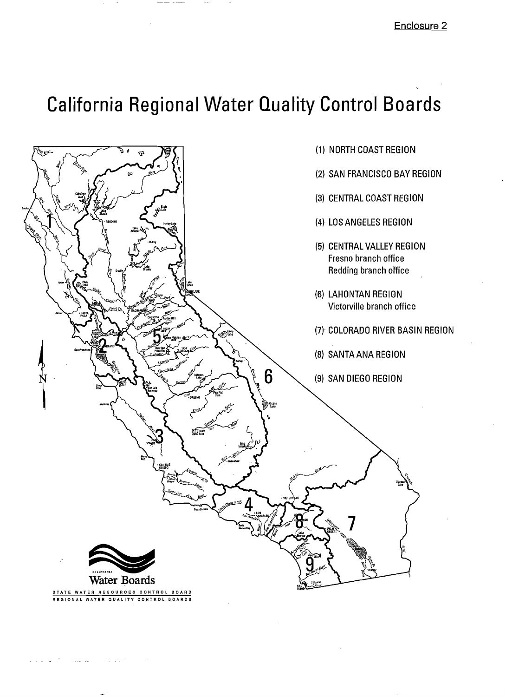# **California Regional Water Qual'ityControl Boards**

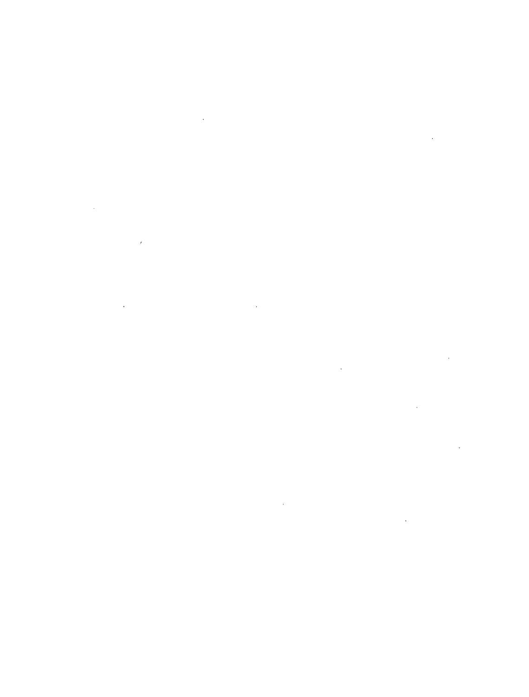$\label{eq:2.1} \frac{1}{\sqrt{2}}\int_{\mathbb{R}^3}\frac{1}{\sqrt{2}}\left(\frac{1}{\sqrt{2}}\right)^2\frac{1}{\sqrt{2}}\left(\frac{1}{\sqrt{2}}\right)^2\frac{1}{\sqrt{2}}\left(\frac{1}{\sqrt{2}}\right)^2\frac{1}{\sqrt{2}}\left(\frac{1}{\sqrt{2}}\right)^2\frac{1}{\sqrt{2}}\left(\frac{1}{\sqrt{2}}\right)^2\frac{1}{\sqrt{2}}\frac{1}{\sqrt{2}}\frac{1}{\sqrt{2}}\frac{1}{\sqrt{2}}\frac{1}{\sqrt{2}}\frac{1}{\sqrt{2}}$  $\label{eq:2.1} \frac{1}{\sqrt{2}}\int_{\mathbb{R}^3}\frac{1}{\sqrt{2}}\left(\frac{1}{\sqrt{2}}\right)^2\frac{1}{\sqrt{2}}\left(\frac{1}{\sqrt{2}}\right)^2\frac{1}{\sqrt{2}}\left(\frac{1}{\sqrt{2}}\right)^2\frac{1}{\sqrt{2}}\left(\frac{1}{\sqrt{2}}\right)^2.$  $\label{eq:2.1} \mathcal{L}(\mathcal{L}(\mathcal{L})) = \mathcal{L}(\mathcal{L}(\mathcal{L})) = \mathcal{L}(\mathcal{L}(\mathcal{L})) = \mathcal{L}(\mathcal{L}(\mathcal{L})) = \mathcal{L}(\mathcal{L}(\mathcal{L})) = \mathcal{L}(\mathcal{L}(\mathcal{L})) = \mathcal{L}(\mathcal{L}(\mathcal{L})) = \mathcal{L}(\mathcal{L}(\mathcal{L})) = \mathcal{L}(\mathcal{L}(\mathcal{L})) = \mathcal{L}(\mathcal{L}(\mathcal{L})) = \mathcal{L}(\mathcal{L}(\mathcal{L})) = \math$ 

 $\label{eq:2.1} \frac{1}{\sqrt{2}}\int_{\mathbb{R}^3}\frac{1}{\sqrt{2}}\left(\frac{1}{\sqrt{2}}\right)^2\frac{1}{\sqrt{2}}\left(\frac{1}{\sqrt{2}}\right)^2\frac{1}{\sqrt{2}}\left(\frac{1}{\sqrt{2}}\right)^2\frac{1}{\sqrt{2}}\left(\frac{1}{\sqrt{2}}\right)^2.$  $\label{eq:2.1} \frac{1}{\sqrt{2}}\int_{\mathbb{R}^3}\frac{1}{\sqrt{2}}\left(\frac{1}{\sqrt{2}}\right)^2\frac{1}{\sqrt{2}}\left(\frac{1}{\sqrt{2}}\right)^2\frac{1}{\sqrt{2}}\left(\frac{1}{\sqrt{2}}\right)^2\frac{1}{\sqrt{2}}\left(\frac{1}{\sqrt{2}}\right)^2.$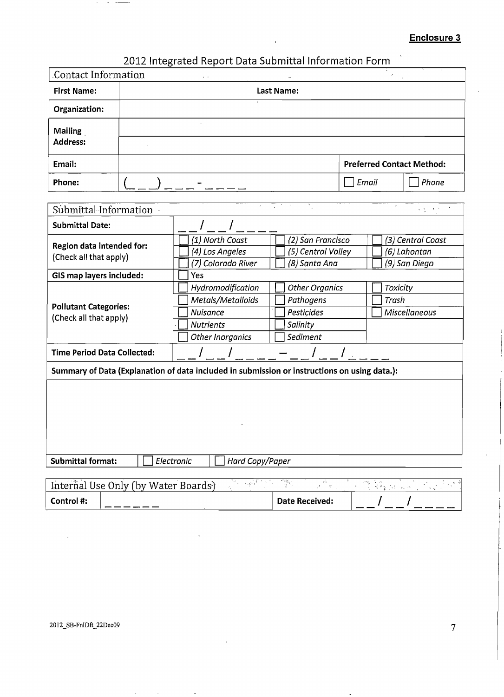### Enclosure 3

### 2012 Integrated Report Data Submittal Information Form

| The Control of the<br>A.<br>Contact Information<br>$\mathbf{r}=\mathbf{r}$ .<br>$\sim$ |         |            |       |                                  |  |
|----------------------------------------------------------------------------------------|---------|------------|-------|----------------------------------|--|
| <b>First Name:</b>                                                                     |         | Last Name: |       |                                  |  |
| Organization:                                                                          |         | $\bullet$  |       |                                  |  |
| <b>Mailing</b>                                                                         |         | $\cdot$    |       |                                  |  |
| Address:                                                                               | $\cdot$ |            |       |                                  |  |
| Email:                                                                                 |         |            |       | <b>Preferred Contact Method:</b> |  |
| Phone:                                                                                 |         |            | Email | Phone                            |  |

| $\epsilon$<br>Submittal-Information<br>$\label{eq:1} \mathbf{a} \cdot \mathbf{y} = \mathbf{t}^{-\eta} \cdot \mathbf{e}^{-\eta}$ |                    |                       |                      |  |  |  |  |
|---------------------------------------------------------------------------------------------------------------------------------|--------------------|-----------------------|----------------------|--|--|--|--|
| <b>Submittal Date:</b>                                                                                                          |                    |                       |                      |  |  |  |  |
| Region data intended for:                                                                                                       | (1) North Coast    | (2) San Francisco     | (3) Central Coast    |  |  |  |  |
| (Check all that apply)                                                                                                          | (4) Los Angeles    | (5) Central Valley    | (6) Lahontan         |  |  |  |  |
|                                                                                                                                 | (7) Colorado River | (8) Santa Ana         | (9) San Diego        |  |  |  |  |
| <b>GIS map layers included:</b><br>Yes                                                                                          |                    |                       |                      |  |  |  |  |
|                                                                                                                                 | Hydromodification  | <b>Other Organics</b> | <b>Toxicity</b>      |  |  |  |  |
|                                                                                                                                 | Metals/Metalloids  | Pathogens             | Trash                |  |  |  |  |
| <b>Pollutant Categories:</b><br>(Check all that apply)                                                                          | <b>Nuisance</b>    | <b>Pesticides</b>     | <b>Miscellaneous</b> |  |  |  |  |
|                                                                                                                                 | <b>Nutrients</b>   | Salinity              |                      |  |  |  |  |
|                                                                                                                                 | Other Inorganics   | Sediment              |                      |  |  |  |  |
| <b>Time Period Data Collected:</b>                                                                                              |                    |                       |                      |  |  |  |  |
| Summary of Data (Explanation of data included in submission or instructions on using data.):                                    |                    |                       |                      |  |  |  |  |
|                                                                                                                                 |                    |                       |                      |  |  |  |  |
|                                                                                                                                 |                    |                       |                      |  |  |  |  |
|                                                                                                                                 |                    |                       |                      |  |  |  |  |
|                                                                                                                                 |                    |                       |                      |  |  |  |  |
|                                                                                                                                 |                    |                       |                      |  |  |  |  |
|                                                                                                                                 |                    |                       |                      |  |  |  |  |
| <b>Submittal format:</b><br>Electronic<br>Hard Copy/Paper                                                                       |                    |                       |                      |  |  |  |  |
| 도 <sub>198</sub> 3<br>¥.                                                                                                        |                    |                       |                      |  |  |  |  |
| ing Age (1971)<br>Tingking Albert<br>Internal Use Only (by Water Boards)<br>n<br>Tri                                            |                    |                       |                      |  |  |  |  |
| Control #:                                                                                                                      |                    | <b>Date Received:</b> |                      |  |  |  |  |